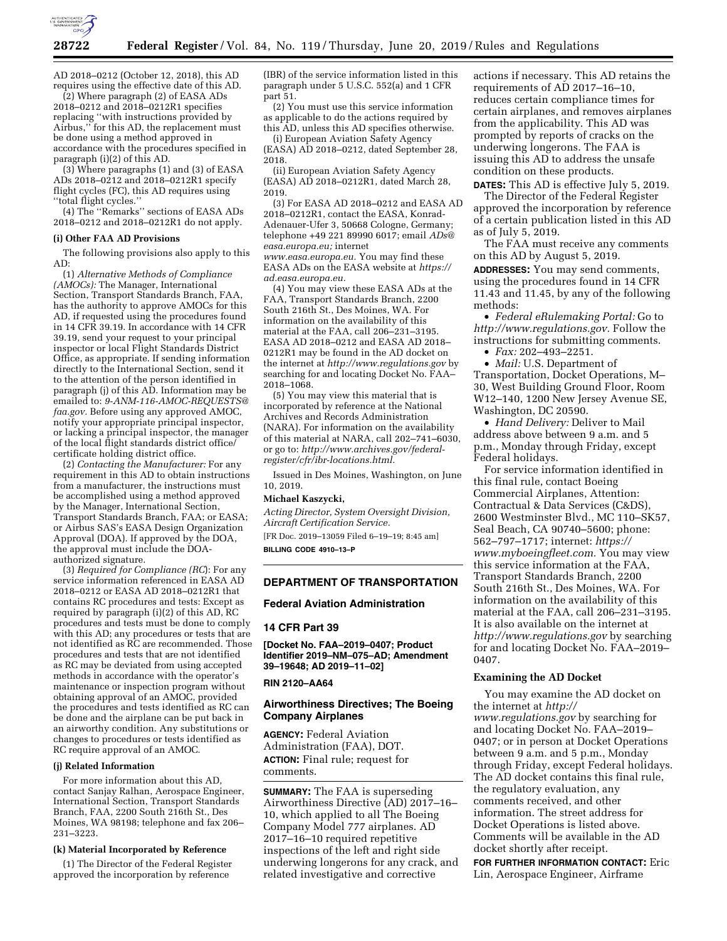

AD 2018–0212 (October 12, 2018), this AD requires using the effective date of this AD.

(2) Where paragraph (2) of EASA ADs 2018–0212 and 2018–0212R1 specifies replacing ''with instructions provided by Airbus,'' for this AD, the replacement must be done using a method approved in accordance with the procedures specified in paragraph (i)(2) of this AD.

(3) Where paragraphs (1) and (3) of EASA ADs 2018–0212 and 2018–0212R1 specify flight cycles (FC), this AD requires using ''total flight cycles.''

(4) The ''Remarks'' sections of EASA ADs 2018–0212 and 2018–0212R1 do not apply.

#### **(i) Other FAA AD Provisions**

The following provisions also apply to this AD:

(1) *Alternative Methods of Compliance (AMOCs):* The Manager, International Section, Transport Standards Branch, FAA, has the authority to approve AMOCs for this AD, if requested using the procedures found in 14 CFR 39.19. In accordance with 14 CFR 39.19, send your request to your principal inspector or local Flight Standards District Office, as appropriate. If sending information directly to the International Section, send it to the attention of the person identified in paragraph (j) of this AD. Information may be emailed to: *[9-ANM-116-AMOC-REQUESTS@](mailto:9-ANM-116-AMOC-REQUESTS@faa.gov) [faa.gov.](mailto:9-ANM-116-AMOC-REQUESTS@faa.gov)* Before using any approved AMOC, notify your appropriate principal inspector, or lacking a principal inspector, the manager of the local flight standards district office/ certificate holding district office.

(2) *Contacting the Manufacturer:* For any requirement in this AD to obtain instructions from a manufacturer, the instructions must be accomplished using a method approved by the Manager, International Section, Transport Standards Branch, FAA; or EASA; or Airbus SAS's EASA Design Organization Approval (DOA). If approved by the DOA, the approval must include the DOAauthorized signature.

(3) *Required for Compliance (RC*): For any service information referenced in EASA AD 2018–0212 or EASA AD 2018–0212R1 that contains RC procedures and tests: Except as required by paragraph (i)(2) of this AD, RC procedures and tests must be done to comply with this AD; any procedures or tests that are not identified as RC are recommended. Those procedures and tests that are not identified as RC may be deviated from using accepted methods in accordance with the operator's maintenance or inspection program without obtaining approval of an AMOC, provided the procedures and tests identified as RC can be done and the airplane can be put back in an airworthy condition. Any substitutions or changes to procedures or tests identified as RC require approval of an AMOC.

#### **(j) Related Information**

For more information about this AD, contact Sanjay Ralhan, Aerospace Engineer, International Section, Transport Standards Branch, FAA, 2200 South 216th St., Des Moines, WA 98198; telephone and fax 206– 231–3223.

### **(k) Material Incorporated by Reference**

(1) The Director of the Federal Register approved the incorporation by reference

(IBR) of the service information listed in this paragraph under 5 U.S.C. 552(a) and 1 CFR part 51.

(2) You must use this service information as applicable to do the actions required by this AD, unless this AD specifies otherwise.

(i) European Aviation Safety Agency (EASA) AD 2018–0212, dated September 28, 2018.

(ii) European Aviation Safety Agency (EASA) AD 2018–0212R1, dated March 28, 2019.

(3) For EASA AD 2018–0212 and EASA AD 2018–0212R1, contact the EASA, Konrad-Adenauer-Ufer 3, 50668 Cologne, Germany; telephone +49 221 89990 6017; email *[ADs@](mailto:ADs@easa.europa.eu) [easa.europa.eu;](mailto:ADs@easa.europa.eu)* internet

*[www.easa.europa.eu.](http://www.easa.europa.eu)* You may find these EASA ADs on the EASA website at *[https://](https://ad.easa.europa.eu) [ad.easa.europa.eu.](https://ad.easa.europa.eu)* 

(4) You may view these EASA ADs at the FAA, Transport Standards Branch, 2200 South 216th St., Des Moines, WA. For information on the availability of this material at the FAA, call 206–231–3195. EASA AD 2018–0212 and EASA AD 2018– 0212R1 may be found in the AD docket on the internet at *<http://www.regulations.gov>*by searching for and locating Docket No. FAA– 2018–1068.

(5) You may view this material that is incorporated by reference at the National Archives and Records Administration (NARA). For information on the availability of this material at NARA, call 202–741–6030, or go to: *[http://www.archives.gov/federal](http://www.archives.gov/federal-register/cfr/ibr-locations.html)[register/cfr/ibr-locations.html.](http://www.archives.gov/federal-register/cfr/ibr-locations.html)* 

Issued in Des Moines, Washington, on June 10, 2019.

#### **Michael Kaszycki,**

*Acting Director, System Oversight Division, Aircraft Certification Service.* 

[FR Doc. 2019–13059 Filed 6–19–19; 8:45 am] **BILLING CODE 4910–13–P** 

#### **DEPARTMENT OF TRANSPORTATION**

#### **Federal Aviation Administration**

### **14 CFR Part 39**

**[Docket No. FAA–2019–0407; Product Identifier 2019–NM–075–AD; Amendment 39–19648; AD 2019–11–02]** 

#### **RIN 2120–AA64**

### **Airworthiness Directives; The Boeing Company Airplanes**

**AGENCY:** Federal Aviation Administration (FAA), DOT. **ACTION:** Final rule; request for comments.

**SUMMARY:** The FAA is superseding Airworthiness Directive (AD) 2017–16– 10, which applied to all The Boeing Company Model 777 airplanes. AD 2017–16–10 required repetitive inspections of the left and right side underwing longerons for any crack, and related investigative and corrective

actions if necessary. This AD retains the requirements of AD 2017–16–10, reduces certain compliance times for certain airplanes, and removes airplanes from the applicability. This AD was prompted by reports of cracks on the underwing longerons. The FAA is issuing this AD to address the unsafe condition on these products.

**DATES:** This AD is effective July 5, 2019.

The Director of the Federal Register approved the incorporation by reference of a certain publication listed in this AD as of July 5, 2019.

The FAA must receive any comments on this AD by August 5, 2019.

**ADDRESSES:** You may send comments, using the procedures found in 14 CFR 11.43 and 11.45, by any of the following methods:

• *Federal eRulemaking Portal:* Go to *[http://www.regulations.gov.](http://www.regulations.gov)* Follow the instructions for submitting comments.

• *Fax:* 202–493–2251.

• *Mail:* U.S. Department of Transportation, Docket Operations, M– 30, West Building Ground Floor, Room W12–140, 1200 New Jersey Avenue SE, Washington, DC 20590.

• *Hand Delivery:* Deliver to Mail address above between 9 a.m. and 5 p.m., Monday through Friday, except Federal holidays.

For service information identified in this final rule, contact Boeing Commercial Airplanes, Attention: Contractual & Data Services (C&DS), 2600 Westminster Blvd., MC 110–SK57, Seal Beach, CA 90740–5600; phone: 562–797–1717; internet: *[https://](https://www.myboeingfleet.com) [www.myboeingfleet.com.](https://www.myboeingfleet.com)* You may view this service information at the FAA, Transport Standards Branch, 2200 South 216th St., Des Moines, WA. For information on the availability of this material at the FAA, call 206–231–3195. It is also available on the internet at *<http://www.regulations.gov>* by searching for and locating Docket No. FAA–2019– 0407.

## **Examining the AD Docket**

You may examine the AD docket on the internet at *[http://](http://www.regulations.gov) [www.regulations.gov](http://www.regulations.gov)* by searching for and locating Docket No. FAA–2019– 0407; or in person at Docket Operations between 9 a.m. and 5 p.m., Monday through Friday, except Federal holidays. The AD docket contains this final rule, the regulatory evaluation, any comments received, and other information. The street address for Docket Operations is listed above. Comments will be available in the AD docket shortly after receipt.

**FOR FURTHER INFORMATION CONTACT:** Eric Lin, Aerospace Engineer, Airframe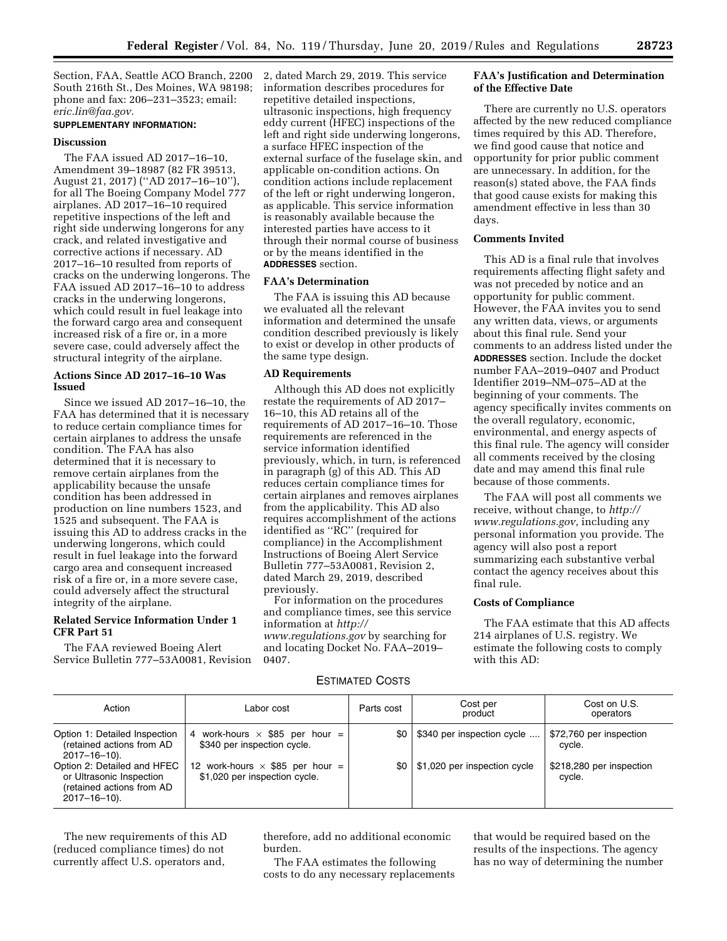Section, FAA, Seattle ACO Branch, 2200 South 216th St., Des Moines, WA 98198; phone and fax: 206–231–3523; email: *[eric.lin@faa.gov.](mailto:eric.lin@faa.gov)* 

## **SUPPLEMENTARY INFORMATION:**

## **Discussion**

The FAA issued AD 2017–16–10, Amendment 39–18987 (82 FR 39513, August 21, 2017) (''AD 2017–16–10''), for all The Boeing Company Model 777 airplanes. AD 2017–16–10 required repetitive inspections of the left and right side underwing longerons for any crack, and related investigative and corrective actions if necessary. AD 2017–16–10 resulted from reports of cracks on the underwing longerons. The FAA issued AD 2017–16–10 to address cracks in the underwing longerons, which could result in fuel leakage into the forward cargo area and consequent increased risk of a fire or, in a more severe case, could adversely affect the structural integrity of the airplane.

### **Actions Since AD 2017–16–10 Was Issued**

Since we issued AD 2017–16–10, the FAA has determined that it is necessary to reduce certain compliance times for certain airplanes to address the unsafe condition. The FAA has also determined that it is necessary to remove certain airplanes from the applicability because the unsafe condition has been addressed in production on line numbers 1523, and 1525 and subsequent. The FAA is issuing this AD to address cracks in the underwing longerons, which could result in fuel leakage into the forward cargo area and consequent increased risk of a fire or, in a more severe case, could adversely affect the structural integrity of the airplane.

## **Related Service Information Under 1 CFR Part 51**

The FAA reviewed Boeing Alert Service Bulletin 777–53A0081, Revision 2, dated March 29, 2019. This service information describes procedures for repetitive detailed inspections, ultrasonic inspections, high frequency eddy current (HFEC) inspections of the left and right side underwing longerons, a surface HFEC inspection of the external surface of the fuselage skin, and applicable on-condition actions. On condition actions include replacement of the left or right underwing longeron, as applicable. This service information is reasonably available because the interested parties have access to it through their normal course of business or by the means identified in the **ADDRESSES** section.

### **FAA's Determination**

The FAA is issuing this AD because we evaluated all the relevant information and determined the unsafe condition described previously is likely to exist or develop in other products of the same type design.

#### **AD Requirements**

Although this AD does not explicitly restate the requirements of AD 2017– 16–10, this AD retains all of the requirements of AD 2017–16–10. Those requirements are referenced in the service information identified previously, which, in turn, is referenced in paragraph (g) of this AD. This AD reduces certain compliance times for certain airplanes and removes airplanes from the applicability. This AD also requires accomplishment of the actions identified as ''RC'' (required for compliance) in the Accomplishment Instructions of Boeing Alert Service Bulletin 777–53A0081, Revision 2, dated March 29, 2019, described previously.

For information on the procedures and compliance times, see this service information at *[http://](http://www.regulations.gov) [www.regulations.gov](http://www.regulations.gov)* by searching for and locating Docket No. FAA–2019–

0407.

## **FAA's Justification and Determination of the Effective Date**

There are currently no U.S. operators affected by the new reduced compliance times required by this AD. Therefore, we find good cause that notice and opportunity for prior public comment are unnecessary. In addition, for the reason(s) stated above, the FAA finds that good cause exists for making this amendment effective in less than 30 days.

## **Comments Invited**

This AD is a final rule that involves requirements affecting flight safety and was not preceded by notice and an opportunity for public comment. However, the FAA invites you to send any written data, views, or arguments about this final rule. Send your comments to an address listed under the **ADDRESSES** section. Include the docket number FAA–2019–0407 and Product Identifier 2019–NM–075–AD at the beginning of your comments. The agency specifically invites comments on the overall regulatory, economic, environmental, and energy aspects of this final rule. The agency will consider all comments received by the closing date and may amend this final rule because of those comments.

The FAA will post all comments we receive, without change, to *[http://](http://www.regulations.gov) [www.regulations.gov,](http://www.regulations.gov)* including any personal information you provide. The agency will also post a report summarizing each substantive verbal contact the agency receives about this final rule.

## **Costs of Compliance**

The FAA estimate that this AD affects 214 airplanes of U.S. registry. We estimate the following costs to comply with this AD:

## ESTIMATED COSTS

| Action                                                                                               | Labor cost                                                              | Parts cost | Cost per<br>product          | Cost on U.S.<br>operators          |
|------------------------------------------------------------------------------------------------------|-------------------------------------------------------------------------|------------|------------------------------|------------------------------------|
| Option 1: Detailed Inspection<br>(retained actions from AD<br>2017-16-10).                           | 4 work-hours $\times$ \$85 per hour =<br>\$340 per inspection cycle.    | \$0        | \$340 per inspection cycle   | \$72,760 per inspection<br>cycle.  |
| Option 2: Detailed and HFEC<br>or Ultrasonic Inspection<br>(retained actions from AD<br>2017-16-10). | 12 work-hours $\times$ \$85 per hour =<br>\$1,020 per inspection cycle. | \$0        | \$1,020 per inspection cycle | \$218,280 per inspection<br>cycle. |

The new requirements of this AD (reduced compliance times) do not currently affect U.S. operators and,

therefore, add no additional economic burden.

The FAA estimates the following costs to do any necessary replacements

that would be required based on the results of the inspections. The agency has no way of determining the number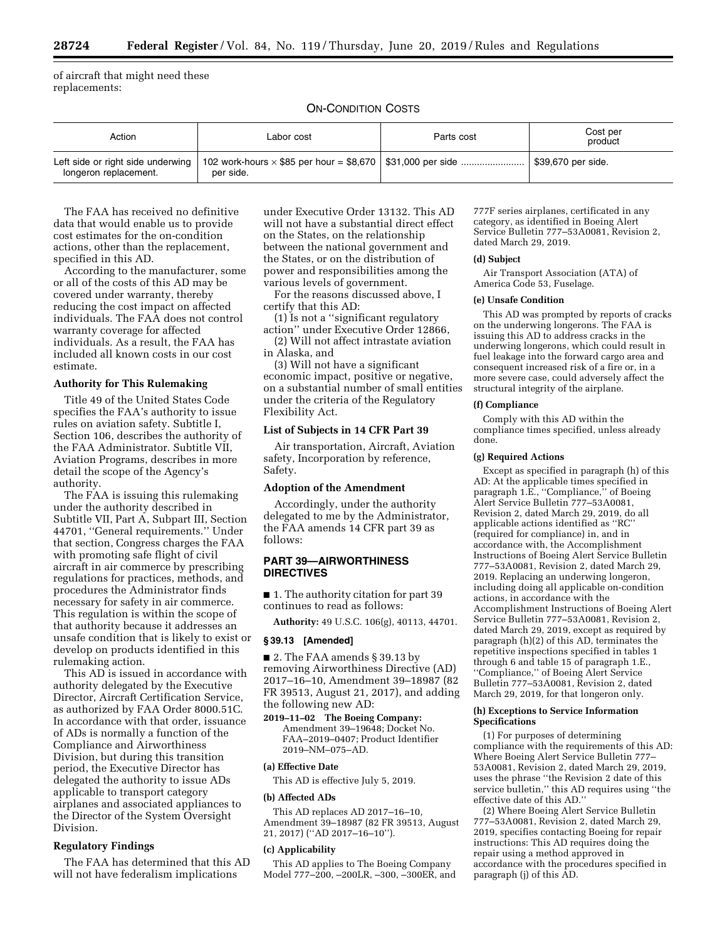of aircraft that might need these replacements:

## ON-CONDITION COSTS

| Action                                                     | Labor cost                                                                       | Parts cost | Cost per<br>product |
|------------------------------------------------------------|----------------------------------------------------------------------------------|------------|---------------------|
| Left side or right side underwing<br>longeron replacement. | 102 work-hours $\times$ \$85 per hour = \$8,670   \$31,000 per side<br>per side. |            | \$39,670 per side.  |

The FAA has received no definitive data that would enable us to provide cost estimates for the on-condition actions, other than the replacement, specified in this AD.

According to the manufacturer, some or all of the costs of this AD may be covered under warranty, thereby reducing the cost impact on affected individuals. The FAA does not control warranty coverage for affected individuals. As a result, the FAA has included all known costs in our cost estimate.

### **Authority for This Rulemaking**

Title 49 of the United States Code specifies the FAA's authority to issue rules on aviation safety. Subtitle I, Section 106, describes the authority of the FAA Administrator. Subtitle VII, Aviation Programs, describes in more detail the scope of the Agency's authority.

The FAA is issuing this rulemaking under the authority described in Subtitle VII, Part A, Subpart III, Section 44701, ''General requirements.'' Under that section, Congress charges the FAA with promoting safe flight of civil aircraft in air commerce by prescribing regulations for practices, methods, and procedures the Administrator finds necessary for safety in air commerce. This regulation is within the scope of that authority because it addresses an unsafe condition that is likely to exist or develop on products identified in this rulemaking action.

This AD is issued in accordance with authority delegated by the Executive Director, Aircraft Certification Service, as authorized by FAA Order 8000.51C. In accordance with that order, issuance of ADs is normally a function of the Compliance and Airworthiness Division, but during this transition period, the Executive Director has delegated the authority to issue ADs applicable to transport category airplanes and associated appliances to the Director of the System Oversight Division.

#### **Regulatory Findings**

The FAA has determined that this AD will not have federalism implications

under Executive Order 13132. This AD will not have a substantial direct effect on the States, on the relationship between the national government and the States, or on the distribution of power and responsibilities among the various levels of government.

For the reasons discussed above, I certify that this AD:

(1) Is not a ''significant regulatory action'' under Executive Order 12866,

(2) Will not affect intrastate aviation in Alaska, and

(3) Will not have a significant economic impact, positive or negative, on a substantial number of small entities under the criteria of the Regulatory Flexibility Act.

# **List of Subjects in 14 CFR Part 39**

Air transportation, Aircraft, Aviation safety, Incorporation by reference, Safety.

### **Adoption of the Amendment**

Accordingly, under the authority delegated to me by the Administrator, the FAA amends 14 CFR part 39 as follows:

### **PART 39—AIRWORTHINESS DIRECTIVES**

■ 1. The authority citation for part 39 continues to read as follows:

**Authority:** 49 U.S.C. 106(g), 40113, 44701.

#### **§ 39.13 [Amended]**

■ 2. The FAA amends § 39.13 by removing Airworthiness Directive (AD) 2017–16–10, Amendment 39–18987 (82 FR 39513, August 21, 2017), and adding the following new AD:

**2019–11–02 The Boeing Company:**  Amendment 39–19648; Docket No. FAA–2019–0407; Product Identifier 2019–NM–075–AD.

#### **(a) Effective Date**

This AD is effective July 5, 2019.

## **(b) Affected ADs**

This AD replaces AD 2017–16–10, Amendment 39–18987 (82 FR 39513, August 21, 2017) (''AD 2017–16–10'').

#### **(c) Applicability**

This AD applies to The Boeing Company Model 777–200, –200LR, –300, –300ER, and

777F series airplanes, certificated in any category, as identified in Boeing Alert Service Bulletin 777–53A0081, Revision 2, dated March 29, 2019.

#### **(d) Subject**

Air Transport Association (ATA) of America Code 53, Fuselage.

#### **(e) Unsafe Condition**

This AD was prompted by reports of cracks on the underwing longerons. The FAA is issuing this AD to address cracks in the underwing longerons, which could result in fuel leakage into the forward cargo area and consequent increased risk of a fire or, in a more severe case, could adversely affect the structural integrity of the airplane.

### **(f) Compliance**

Comply with this AD within the compliance times specified, unless already done.

#### **(g) Required Actions**

Except as specified in paragraph (h) of this AD: At the applicable times specified in paragraph 1.E., ''Compliance,'' of Boeing Alert Service Bulletin 777–53A0081, Revision 2, dated March 29, 2019, do all applicable actions identified as ''RC'' (required for compliance) in, and in accordance with, the Accomplishment Instructions of Boeing Alert Service Bulletin 777–53A0081, Revision 2, dated March 29, 2019. Replacing an underwing longeron, including doing all applicable on-condition actions, in accordance with the Accomplishment Instructions of Boeing Alert Service Bulletin 777–53A0081, Revision 2, dated March 29, 2019, except as required by paragraph (h)(2) of this AD, terminates the repetitive inspections specified in tables 1 through 6 and table 15 of paragraph 1.E., ''Compliance,'' of Boeing Alert Service Bulletin 777–53A0081, Revision 2, dated March 29, 2019, for that longeron only.

#### **(h) Exceptions to Service Information Specifications**

(1) For purposes of determining compliance with the requirements of this AD: Where Boeing Alert Service Bulletin 777– 53A0081, Revision 2, dated March 29, 2019, uses the phrase ''the Revision 2 date of this service bulletin,'' this AD requires using ''the effective date of this AD.''

(2) Where Boeing Alert Service Bulletin 777–53A0081, Revision 2, dated March 29, 2019, specifies contacting Boeing for repair instructions: This AD requires doing the repair using a method approved in accordance with the procedures specified in paragraph (j) of this AD.